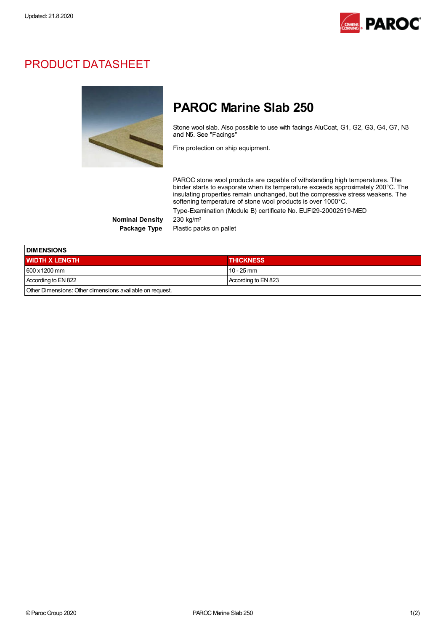

## PRODUCT DATASHEET



## PAROC Marine Slab 250

Stone wool slab. Also possible to use with facings AluCoat, G1, G2, G3, G4, G7, N3 and N5. See "Facings"

Fire protection on ship equipment.

PAROC stone wool products are capable of withstanding high temperatures. The binder starts to evaporate when its temperature exceeds approximately 200°C. The insulating properties remain unchanged, but the compressive stress weakens. The softening temperature of stone wool products is over 1000°C. Type-Examination (Module B) certificate No. EUFI29-20002519-MED

Nominal Density 230 kg/m<sup>3</sup>

Package Type Plastic packs on pallet

| <b>DIMENSIONS</b>                                        |                     |  |
|----------------------------------------------------------|---------------------|--|
| <b>WIDTH X LENGTH</b>                                    | <b>THICKNESS</b>    |  |
| 600 x 1200 mm                                            | $10 - 25$ mm        |  |
| According to EN 822                                      | According to EN 823 |  |
| Other Dimensions: Other dimensions available on request. |                     |  |